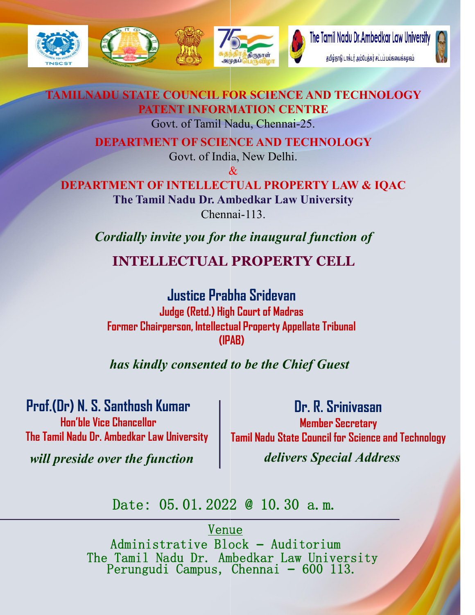

## TAMILNADU STATE COUNCIL FOR SCIENCE AND TECHNOLOGY PATENT INFORMATION CENTRE

Govt. of Tamil Nadu, Chennai Chennai-25.

DEPARTMENT OF SCIENCE AND TECHNOLOGY

Govt. of India, New Delhi.  $\mathcal{X}$ 

DEPARTMENT OF INTELLECTUAL PROPERTY LAW & IQAC The Tamil Nadu Dr. Ambedkar Law University Chennai Chennai-113.

*Cordially invite you for the inaugural function of* 

INTELLECTUAL PROPERTY CELL

Justice Prabha Sridevan Judge (Retd.) High Court of Madras Former Chairperson, Intellectual Property Appellate Tribunal (IPAB)

*has kindly consented to be the Chief Guest*

Prof.(Dr) N. S. Santhosh Kumar

Hon'ble Vice Chancellor The Tamil Nadu Dr. Ambedkar Law University

Dr. R. Srinivasan Member Secretary Tamil Nadu State Council for Science and Technology *delivers Special Address*

*will preside over the function*

Date: 05.01.2022 @ 10.30 a.m.

Venue

Administrative Block – Auditorium The Tamil Nadu Dr. Ambedkar Law University Perungudi Campus, Chennai – 600 113.